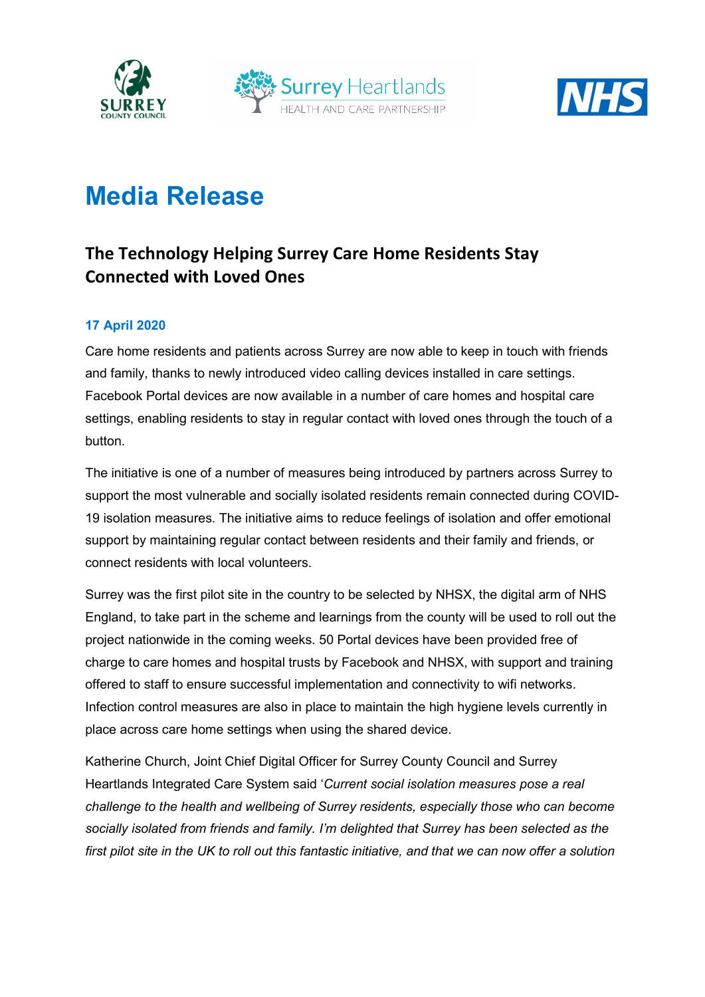





# **Media Release**

## **The Technology Helping Surrey Care Home Residents Stay Connected with Loved Ones**

#### **17 April 2020**

Care home residents and patients across Surrey are now able to keep in touch with friends and family, thanks to newly introduced video calling devices installed in care settings. Facebook Portal devices are now available in a number of care homes and hospital care settings, enabling residents to stay in regular contact with loved ones through the touch of a button.

The initiative is one of a number of measures being introduced by partners across Surrey to support the most vulnerable and socially isolated residents remain connected during COVID-19 isolation measures. The initiative aims to reduce feelings of isolation and offer emotional support by maintaining regular contact between residents and their family and friends, or connect residents with local volunteers.

Surrey was the first pilot site in the country to be selected by NHSX, the digital arm of NHS England, to take part in the scheme and learnings from the county will be used to roll out the project nationwide in the coming weeks. 50 Portal devices have been provided free of charge to care homes and hospital trusts by Facebook and NHSX, with support and training offered to staff to ensure successful implementation and connectivity to wifi networks. Infection control measures are also in place to maintain the high hygiene levels currently in place across care home settings when using the shared device.

Katherine Church, Joint Chief Digital Officer for Surrey County Council and Surrey Heartlands Integrated Care System said '*Current social isolation measures pose a real challenge to the health and wellbeing of Surrey residents, especially those who can become socially isolated from friends and family. I'm delighted that Surrey has been selected as the first pilot site in the UK to roll out this fantastic initiative, and that we can now offer a solution*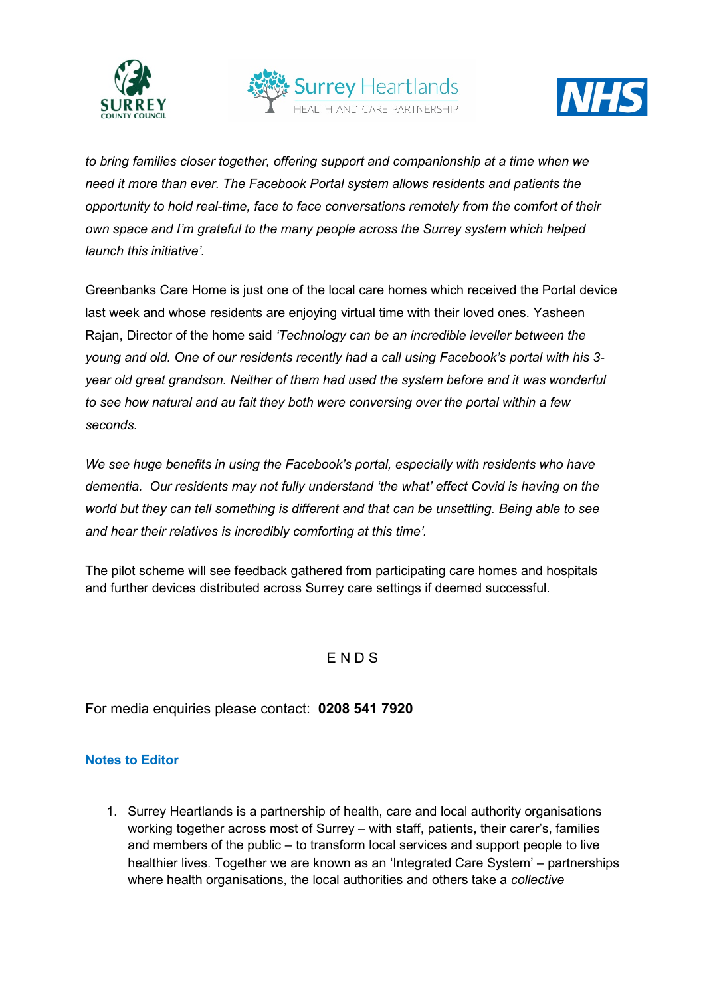





*to bring families closer together, offering support and companionship at a time when we need it more than ever. The Facebook Portal system allows residents and patients the opportunity to hold real-time, face to face conversations remotely from the comfort of their own space and I'm grateful to the many people across the Surrey system which helped launch this initiative'.* 

Greenbanks Care Home is just one of the local care homes which received the Portal device last week and whose residents are enjoying virtual time with their loved ones. Yasheen Rajan, Director of the home said *'Technology can be an incredible leveller between the young and old. One of our residents recently had a call using Facebook's portal with his 3 year old great grandson. Neither of them had used the system before and it was wonderful to see how natural and au fait they both were conversing over the portal within a few seconds.* 

*We see huge benefits in using the Facebook's portal, especially with residents who have dementia. Our residents may not fully understand 'the what' effect Covid is having on the world but they can tell something is different and that can be unsettling. Being able to see and hear their relatives is incredibly comforting at this time'.*

The pilot scheme will see feedback gathered from participating care homes and hospitals and further devices distributed across Surrey care settings if deemed successful.

### E N D S

For media enquiries please contact: **0208 541 7920**

#### **Notes to Editor**

1. Surrey Heartlands is a partnership of health, care and local authority organisations working together across most of Surrey – with staff, patients, their carer's, families and members of the public – to transform local services and support people to live healthier lives. Together we are known as an 'Integrated Care System' – partnerships where health organisations, the local authorities and others take a *collective*